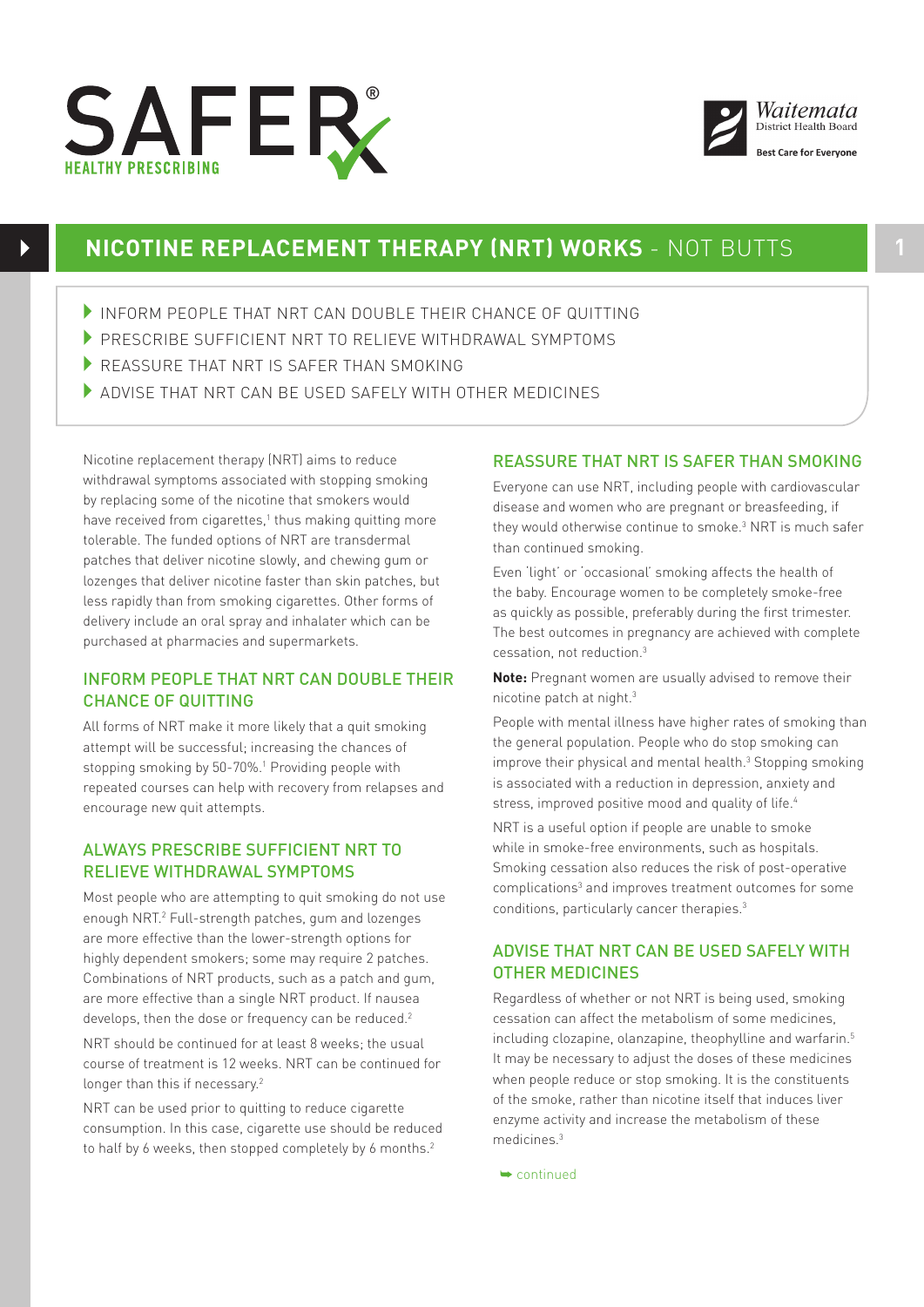



## **NICOTINE REPLACEMENT THERAPY (NRT) WORKS** - NOT BUTTS **1**

- 4INFORM PEOPLE THAT NRT CAN DOUBLE THEIR CHANCE OF QUITTING
- PRESCRIBE SUFFICIENT NRT TO RELIEVE WITHDRAWAL SYMPTOMS
- REASSURE THAT NRT IS SAFER THAN SMOKING
- 4ADVISE THAT NRT CAN BE USED SAFELY WITH OTHER MEDICINES

Nicotine replacement therapy (NRT) aims to reduce withdrawal symptoms associated with stopping smoking by replacing some of the nicotine that smokers would have received from cigarettes,<sup>1</sup> thus making quitting more tolerable. The funded options of NRT are transdermal patches that deliver nicotine slowly, and chewing gum or lozenges that deliver nicotine faster than skin patches, but less rapidly than from smoking cigarettes. Other forms of delivery include an oral spray and inhalater which can be purchased at pharmacies and supermarkets.

## INFORM PEOPLE THAT NRT CAN DOUBLE THEIR CHANCE OF QUITTING

All forms of NRT make it more likely that a quit smoking attempt will be successful; increasing the chances of stopping smoking by 50-70%.<sup>1</sup> Providing people with repeated courses can help with recovery from relapses and encourage new quit attempts.

## ALWAYS PRESCRIBE SUFFICIENT NRT TO RELIEVE WITHDRAWAL SYMPTOMS

Most people who are attempting to quit smoking do not use enough NRT.2 Full-strength patches, gum and lozenges are more effective than the lower-strength options for highly dependent smokers; some may require 2 patches. Combinations of NRT products, such as a patch and gum, are more effective than a single NRT product. If nausea develops, then the dose or frequency can be reduced.<sup>2</sup> NRT should be continued for at least 8 weeks; the usual course of treatment is 12 weeks. NRT can be continued for longer than this if necessary.<sup>2</sup>

NRT can be used prior to quitting to reduce cigarette consumption. In this case, cigarette use should be reduced to half by 6 weeks, then stopped completely by 6 months.<sup>2</sup>

## REASSURE THAT NRT IS SAFER THAN SMOKING

Everyone can use NRT, including people with cardiovascular disease and women who are pregnant or breasfeeding, if they would otherwise continue to smoke.3 NRT is much safer than continued smoking.

Even 'light' or 'occasional' smoking affects the health of the baby. Encourage women to be completely smoke-free as quickly as possible, preferably during the first trimester. The best outcomes in pregnancy are achieved with complete cessation, not reduction.3

**Note:** Pregnant women are usually advised to remove their nicotine patch at night.3

People with mental illness have higher rates of smoking than the general population. People who do stop smoking can improve their physical and mental health.<sup>3</sup> Stopping smoking is associated with a reduction in depression, anxiety and stress, improved positive mood and quality of life.<sup>4</sup>

NRT is a useful option if people are unable to smoke while in smoke-free environments, such as hospitals. Smoking cessation also reduces the risk of post-operative complications<sup>3</sup> and improves treatment outcomes for some conditions, particularly cancer therapies.3

## ADVISE THAT NRT CAN BE USED SAFELY WITH OTHER MEDICINES

Regardless of whether or not NRT is being used, smoking cessation can affect the metabolism of some medicines, including clozapine, olanzapine, theophylline and warfarin.<sup>5</sup> It may be necessary to adjust the doses of these medicines when people reduce or stop smoking. It is the constituents of the smoke, rather than nicotine itself that induces liver enzyme activity and increase the metabolism of these medicines.3

➥ continued